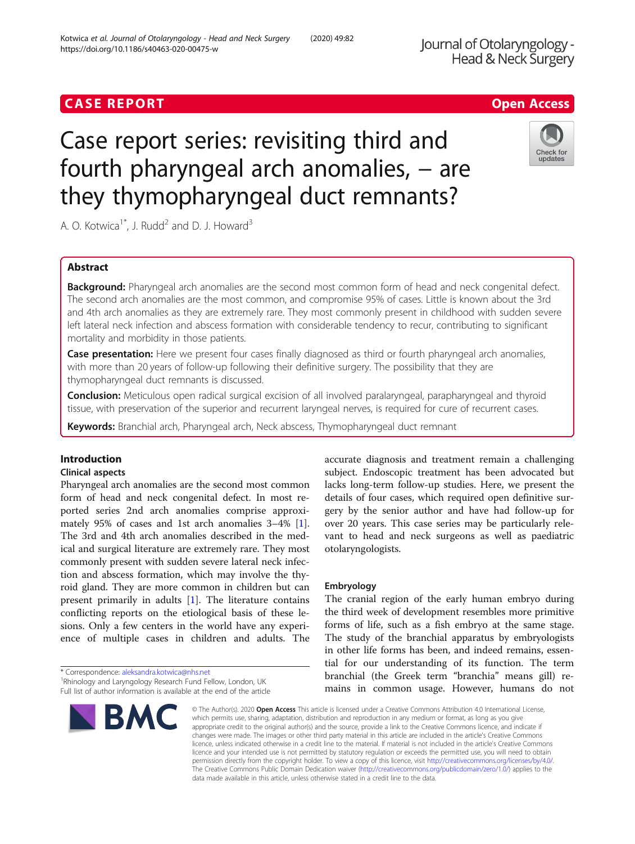# Case report series: revisiting third and fourth pharyngeal arch anomalies, – are they thymopharyngeal duct remnants?

A. O. Kotwica<sup>1\*</sup>, J. Rudd<sup>2</sup> and D. J. Howard<sup>3</sup>

# Abstract

Background: Pharyngeal arch anomalies are the second most common form of head and neck congenital defect. The second arch anomalies are the most common, and compromise 95% of cases. Little is known about the 3rd and 4th arch anomalies as they are extremely rare. They most commonly present in childhood with sudden severe left lateral neck infection and abscess formation with considerable tendency to recur, contributing to significant mortality and morbidity in those patients.

Case presentation: Here we present four cases finally diagnosed as third or fourth pharyngeal arch anomalies, with more than 20 years of follow-up following their definitive surgery. The possibility that they are thymopharyngeal duct remnants is discussed.

Conclusion: Meticulous open radical surgical excision of all involved paralaryngeal, parapharyngeal and thyroid tissue, with preservation of the superior and recurrent laryngeal nerves, is required for cure of recurrent cases.

Keywords: Branchial arch, Pharyngeal arch, Neck abscess, Thymopharyngeal duct remnant

# Introduction

# Clinical aspects

Pharyngeal arch anomalies are the second most common form of head and neck congenital defect. In most reported series 2nd arch anomalies comprise approximately 95% of cases and 1st arch anomalies 3–4% [\[1](#page-4-0)]. The 3rd and 4th arch anomalies described in the medical and surgical literature are extremely rare. They most commonly present with sudden severe lateral neck infection and abscess formation, which may involve the thyroid gland. They are more common in children but can present primarily in adults [\[1](#page-4-0)]. The literature contains conflicting reports on the etiological basis of these lesions. Only a few centers in the world have any experience of multiple cases in children and adults. The

\* Correspondence: [aleksandra.kotwica@nhs.net](mailto:aleksandra.kotwica@nhs.net) <sup>1</sup> <sup>1</sup>Rhinology and Laryngology Research Fund Fellow, London, UK Full list of author information is available at the end of the article accurate diagnosis and treatment remain a challenging subject. Endoscopic treatment has been advocated but lacks long-term follow-up studies. Here, we present the details of four cases, which required open definitive surgery by the senior author and have had follow-up for over 20 years. This case series may be particularly relevant to head and neck surgeons as well as paediatric otolaryngologists.

# Embryology

The cranial region of the early human embryo during the third week of development resembles more primitive forms of life, such as a fish embryo at the same stage. The study of the branchial apparatus by embryologists in other life forms has been, and indeed remains, essential for our understanding of its function. The term branchial (the Greek term "branchia" means gill) remains in common usage. However, humans do not

© The Author(s), 2020 **Open Access** This article is licensed under a Creative Commons Attribution 4.0 International License, which permits use, sharing, adaptation, distribution and reproduction in any medium or format, as long as you give appropriate credit to the original author(s) and the source, provide a link to the Creative Commons licence, and indicate if changes were made. The images or other third party material in this article are included in the article's Creative Commons licence, unless indicated otherwise in a credit line to the material. If material is not included in the article's Creative Commons licence and your intended use is not permitted by statutory regulation or exceeds the permitted use, you will need to obtain permission directly from the copyright holder. To view a copy of this licence, visit [http://creativecommons.org/licenses/by/4.0/.](http://creativecommons.org/licenses/by/4.0/) The Creative Commons Public Domain Dedication waiver [\(http://creativecommons.org/publicdomain/zero/1.0/](http://creativecommons.org/publicdomain/zero/1.0/)) applies to the data made available in this article, unless otherwise stated in a credit line to the data.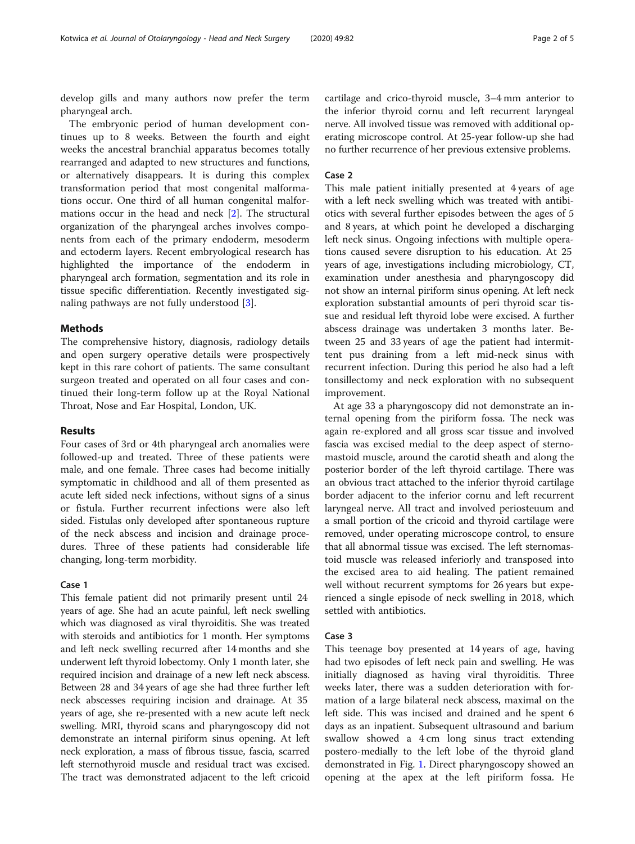develop gills and many authors now prefer the term pharyngeal arch.

The embryonic period of human development continues up to 8 weeks. Between the fourth and eight weeks the ancestral branchial apparatus becomes totally rearranged and adapted to new structures and functions, or alternatively disappears. It is during this complex transformation period that most congenital malformations occur. One third of all human congenital malformations occur in the head and neck [[2\]](#page-4-0). The structural organization of the pharyngeal arches involves components from each of the primary endoderm, mesoderm and ectoderm layers. Recent embryological research has highlighted the importance of the endoderm in pharyngeal arch formation, segmentation and its role in tissue specific differentiation. Recently investigated signaling pathways are not fully understood [\[3](#page-4-0)].

### Methods

The comprehensive history, diagnosis, radiology details and open surgery operative details were prospectively kept in this rare cohort of patients. The same consultant surgeon treated and operated on all four cases and continued their long-term follow up at the Royal National Throat, Nose and Ear Hospital, London, UK.

# Results

Four cases of 3rd or 4th pharyngeal arch anomalies were followed-up and treated. Three of these patients were male, and one female. Three cases had become initially symptomatic in childhood and all of them presented as acute left sided neck infections, without signs of a sinus or fistula. Further recurrent infections were also left sided. Fistulas only developed after spontaneous rupture of the neck abscess and incision and drainage procedures. Three of these patients had considerable life changing, long-term morbidity.

# Case 1

This female patient did not primarily present until 24 years of age. She had an acute painful, left neck swelling which was diagnosed as viral thyroiditis. She was treated with steroids and antibiotics for 1 month. Her symptoms and left neck swelling recurred after 14 months and she underwent left thyroid lobectomy. Only 1 month later, she required incision and drainage of a new left neck abscess. Between 28 and 34 years of age she had three further left neck abscesses requiring incision and drainage. At 35 years of age, she re-presented with a new acute left neck swelling. MRI, thyroid scans and pharyngoscopy did not demonstrate an internal piriform sinus opening. At left neck exploration, a mass of fibrous tissue, fascia, scarred left sternothyroid muscle and residual tract was excised. The tract was demonstrated adjacent to the left cricoid cartilage and crico-thyroid muscle, 3–4 mm anterior to the inferior thyroid cornu and left recurrent laryngeal nerve. All involved tissue was removed with additional operating microscope control. At 25-year follow-up she had no further recurrence of her previous extensive problems.

# Case 2

This male patient initially presented at 4 years of age with a left neck swelling which was treated with antibiotics with several further episodes between the ages of 5 and 8 years, at which point he developed a discharging left neck sinus. Ongoing infections with multiple operations caused severe disruption to his education. At 25 years of age, investigations including microbiology, CT, examination under anesthesia and pharyngoscopy did not show an internal piriform sinus opening. At left neck exploration substantial amounts of peri thyroid scar tissue and residual left thyroid lobe were excised. A further abscess drainage was undertaken 3 months later. Between 25 and 33 years of age the patient had intermittent pus draining from a left mid-neck sinus with recurrent infection. During this period he also had a left tonsillectomy and neck exploration with no subsequent improvement.

At age 33 a pharyngoscopy did not demonstrate an internal opening from the piriform fossa. The neck was again re-explored and all gross scar tissue and involved fascia was excised medial to the deep aspect of sternomastoid muscle, around the carotid sheath and along the posterior border of the left thyroid cartilage. There was an obvious tract attached to the inferior thyroid cartilage border adjacent to the inferior cornu and left recurrent laryngeal nerve. All tract and involved periosteuum and a small portion of the cricoid and thyroid cartilage were removed, under operating microscope control, to ensure that all abnormal tissue was excised. The left sternomastoid muscle was released inferiorly and transposed into the excised area to aid healing. The patient remained well without recurrent symptoms for 26 years but experienced a single episode of neck swelling in 2018, which settled with antibiotics.

# Case 3

This teenage boy presented at 14 years of age, having had two episodes of left neck pain and swelling. He was initially diagnosed as having viral thyroiditis. Three weeks later, there was a sudden deterioration with formation of a large bilateral neck abscess, maximal on the left side. This was incised and drained and he spent 6 days as an inpatient. Subsequent ultrasound and barium swallow showed a 4 cm long sinus tract extending postero-medially to the left lobe of the thyroid gland demonstrated in Fig. [1](#page-2-0). Direct pharyngoscopy showed an opening at the apex at the left piriform fossa. He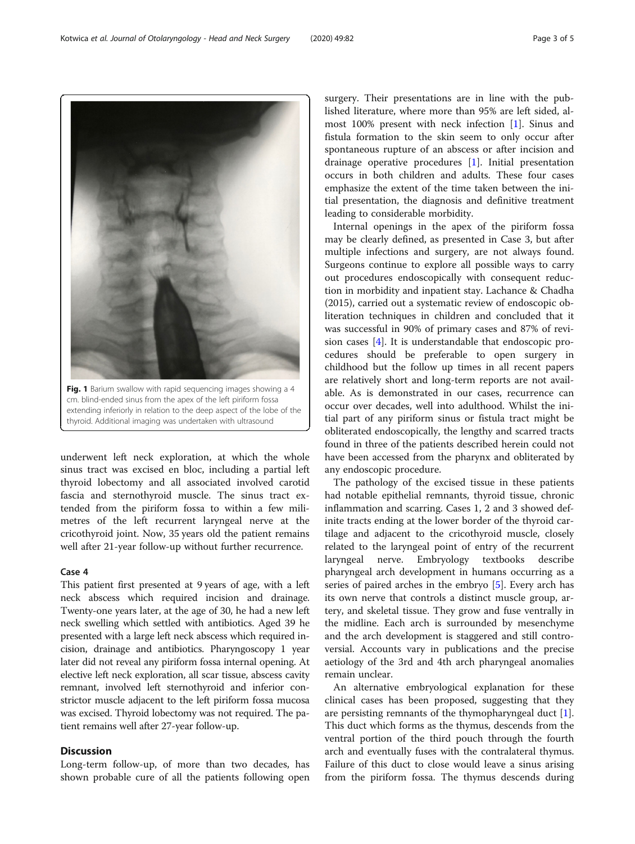underwent left neck exploration, at which the whole sinus tract was excised en bloc, including a partial left thyroid lobectomy and all associated involved carotid fascia and sternothyroid muscle. The sinus tract extended from the piriform fossa to within a few milimetres of the left recurrent laryngeal nerve at the cricothyroid joint. Now, 35 years old the patient remains well after 21-year follow-up without further recurrence.

# Case 4

This patient first presented at 9 years of age, with a left neck abscess which required incision and drainage. Twenty-one years later, at the age of 30, he had a new left neck swelling which settled with antibiotics. Aged 39 he presented with a large left neck abscess which required incision, drainage and antibiotics. Pharyngoscopy 1 year later did not reveal any piriform fossa internal opening. At elective left neck exploration, all scar tissue, abscess cavity remnant, involved left sternothyroid and inferior constrictor muscle adjacent to the left piriform fossa mucosa was excised. Thyroid lobectomy was not required. The patient remains well after 27-year follow-up.

# **Discussion**

Long-term follow-up, of more than two decades, has shown probable cure of all the patients following open surgery. Their presentations are in line with the published literature, where more than 95% are left sided, almost 100% present with neck infection [[1](#page-4-0)]. Sinus and fistula formation to the skin seem to only occur after spontaneous rupture of an abscess or after incision and drainage operative procedures [\[1](#page-4-0)]. Initial presentation occurs in both children and adults. These four cases emphasize the extent of the time taken between the initial presentation, the diagnosis and definitive treatment leading to considerable morbidity.

Internal openings in the apex of the piriform fossa may be clearly defined, as presented in Case 3, but after multiple infections and surgery, are not always found. Surgeons continue to explore all possible ways to carry out procedures endoscopically with consequent reduction in morbidity and inpatient stay. Lachance & Chadha (2015), carried out a systematic review of endoscopic obliteration techniques in children and concluded that it was successful in 90% of primary cases and 87% of revision cases [[4\]](#page-4-0). It is understandable that endoscopic procedures should be preferable to open surgery in childhood but the follow up times in all recent papers are relatively short and long-term reports are not available. As is demonstrated in our cases, recurrence can occur over decades, well into adulthood. Whilst the initial part of any piriform sinus or fistula tract might be obliterated endoscopically, the lengthy and scarred tracts found in three of the patients described herein could not have been accessed from the pharynx and obliterated by any endoscopic procedure.

The pathology of the excised tissue in these patients had notable epithelial remnants, thyroid tissue, chronic inflammation and scarring. Cases 1, 2 and 3 showed definite tracts ending at the lower border of the thyroid cartilage and adjacent to the cricothyroid muscle, closely related to the laryngeal point of entry of the recurrent laryngeal nerve. Embryology textbooks describe pharyngeal arch development in humans occurring as a series of paired arches in the embryo [[5\]](#page-4-0). Every arch has its own nerve that controls a distinct muscle group, artery, and skeletal tissue. They grow and fuse ventrally in the midline. Each arch is surrounded by mesenchyme and the arch development is staggered and still controversial. Accounts vary in publications and the precise aetiology of the 3rd and 4th arch pharyngeal anomalies remain unclear.

An alternative embryological explanation for these clinical cases has been proposed, suggesting that they are persisting remnants of the thymopharyngeal duct [\[1](#page-4-0)]. This duct which forms as the thymus, descends from the ventral portion of the third pouch through the fourth arch and eventually fuses with the contralateral thymus. Failure of this duct to close would leave a sinus arising from the piriform fossa. The thymus descends during

Fig. 1 Barium swallow with rapid sequencing images showing a 4 cm. blind-ended sinus from the apex of the left piriform fossa extending inferiorly in relation to the deep aspect of the lobe of the thyroid. Additional imaging was undertaken with ultrasound

<span id="page-2-0"></span>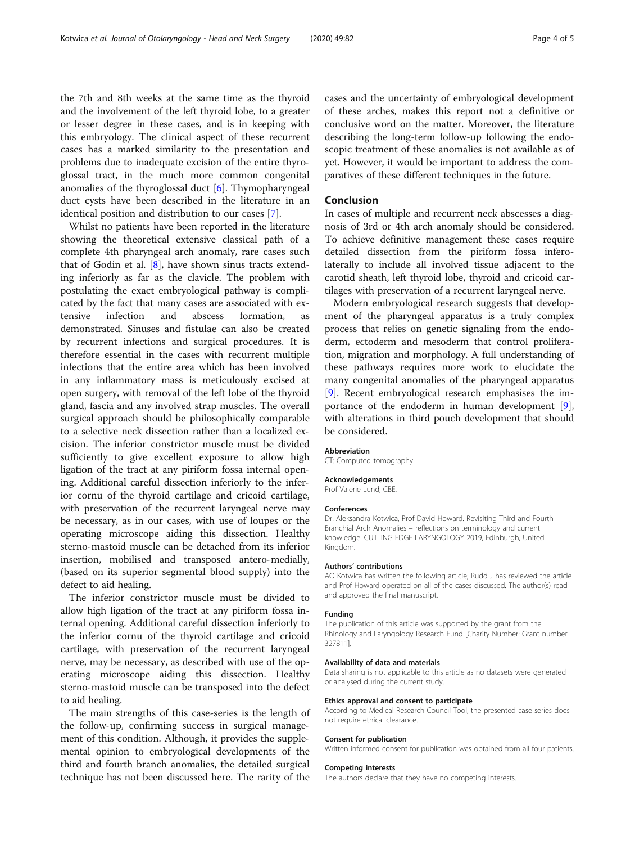the 7th and 8th weeks at the same time as the thyroid and the involvement of the left thyroid lobe, to a greater or lesser degree in these cases, and is in keeping with this embryology. The clinical aspect of these recurrent cases has a marked similarity to the presentation and problems due to inadequate excision of the entire thyroglossal tract, in the much more common congenital anomalies of the thyroglossal duct [\[6](#page-4-0)]. Thymopharyngeal duct cysts have been described in the literature in an identical position and distribution to our cases [[7\]](#page-4-0).

Whilst no patients have been reported in the literature showing the theoretical extensive classical path of a complete 4th pharyngeal arch anomaly, rare cases such that of Godin et al. [\[8](#page-4-0)], have shown sinus tracts extending inferiorly as far as the clavicle. The problem with postulating the exact embryological pathway is complicated by the fact that many cases are associated with extensive infection and abscess formation, as demonstrated. Sinuses and fistulae can also be created by recurrent infections and surgical procedures. It is therefore essential in the cases with recurrent multiple infections that the entire area which has been involved in any inflammatory mass is meticulously excised at open surgery, with removal of the left lobe of the thyroid gland, fascia and any involved strap muscles. The overall surgical approach should be philosophically comparable to a selective neck dissection rather than a localized excision. The inferior constrictor muscle must be divided sufficiently to give excellent exposure to allow high ligation of the tract at any piriform fossa internal opening. Additional careful dissection inferiorly to the inferior cornu of the thyroid cartilage and cricoid cartilage, with preservation of the recurrent laryngeal nerve may be necessary, as in our cases, with use of loupes or the operating microscope aiding this dissection. Healthy sterno-mastoid muscle can be detached from its inferior insertion, mobilised and transposed antero-medially, (based on its superior segmental blood supply) into the defect to aid healing.

The inferior constrictor muscle must be divided to allow high ligation of the tract at any piriform fossa internal opening. Additional careful dissection inferiorly to the inferior cornu of the thyroid cartilage and cricoid cartilage, with preservation of the recurrent laryngeal nerve, may be necessary, as described with use of the operating microscope aiding this dissection. Healthy sterno-mastoid muscle can be transposed into the defect to aid healing.

The main strengths of this case-series is the length of the follow-up, confirming success in surgical management of this condition. Although, it provides the supplemental opinion to embryological developments of the third and fourth branch anomalies, the detailed surgical technique has not been discussed here. The rarity of the

cases and the uncertainty of embryological development of these arches, makes this report not a definitive or conclusive word on the matter. Moreover, the literature describing the long-term follow-up following the endoscopic treatment of these anomalies is not available as of yet. However, it would be important to address the comparatives of these different techniques in the future.

# Conclusion

In cases of multiple and recurrent neck abscesses a diagnosis of 3rd or 4th arch anomaly should be considered. To achieve definitive management these cases require detailed dissection from the piriform fossa inferolaterally to include all involved tissue adjacent to the carotid sheath, left thyroid lobe, thyroid and cricoid cartilages with preservation of a recurrent laryngeal nerve.

Modern embryological research suggests that development of the pharyngeal apparatus is a truly complex process that relies on genetic signaling from the endoderm, ectoderm and mesoderm that control proliferation, migration and morphology. A full understanding of these pathways requires more work to elucidate the many congenital anomalies of the pharyngeal apparatus [[9\]](#page-4-0). Recent embryological research emphasises the importance of the endoderm in human development [\[9](#page-4-0)], with alterations in third pouch development that should be considered.

#### Abbreviation

CT: Computed tomography

#### Acknowledgements

Prof Valerie Lund, CBE.

#### Conferences

Dr. Aleksandra Kotwica, Prof David Howard. Revisiting Third and Fourth Branchial Arch Anomalies – reflections on terminology and current knowledge. CUTTING EDGE LARYNGOLOGY 2019, Edinburgh, United Kingdom.

#### Authors' contributions

AO Kotwica has written the following article; Rudd J has reviewed the article and Prof Howard operated on all of the cases discussed. The author(s) read and approved the final manuscript.

#### Funding

The publication of this article was supported by the grant from the Rhinology and Laryngology Research Fund [Charity Number: Grant number 327811].

#### Availability of data and materials

Data sharing is not applicable to this article as no datasets were generated or analysed during the current study.

#### Ethics approval and consent to participate

According to Medical Research Council Tool, the presented case series does not require ethical clearance.

#### Consent for publication

Written informed consent for publication was obtained from all four patients.

#### Competing interests

The authors declare that they have no competing interests.